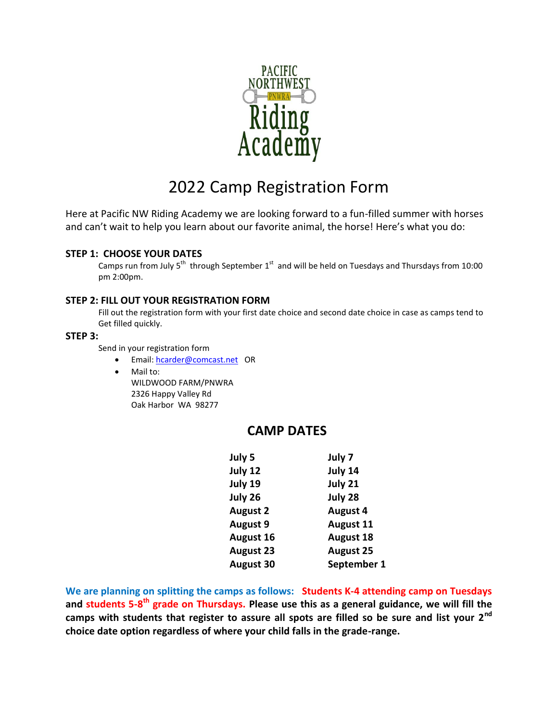

# 2022 Camp Registration Form

Here at Pacific NW Riding Academy we are looking forward to a fun-filled summer with horses and can't wait to help you learn about our favorite animal, the horse! Here's what you do:

### **STEP 1: CHOOSE YOUR DATES**

Camps run from July  $5^{th}$  through September  $1^{st}$  and will be held on Tuesdays and Thursdays from 10:00 pm 2:00pm.

### **STEP 2: FILL OUT YOUR REGISTRATION FORM**

Fill out the registration form with your first date choice and second date choice in case as camps tend to Get filled quickly.

#### **STEP 3:**

Send in your registration form

- Email: [hcarder@comcast.net](mailto:hcarder@comcast.net) OR
- Mail to:

WILDWOOD FARM/PNWRA 2326 Happy Valley Rd Oak Harbor WA 98277

## **CAMP DATES**

| July 5           | July 7           |  |
|------------------|------------------|--|
| July 12          | July 14          |  |
| July 19          | July 21          |  |
| July 26          | July 28          |  |
| <b>August 2</b>  | <b>August 4</b>  |  |
| <b>August 9</b>  | <b>August 11</b> |  |
| August 16        | <b>August 18</b> |  |
| <b>August 23</b> | <b>August 25</b> |  |
| <b>August 30</b> | September 1      |  |

**We are planning on splitting the camps as follows: Students K-4 attending camp on Tuesdays and students 5-8 th grade on Thursdays. Please use this as a general guidance, we will fill the camps with students that register to assure all spots are filled so be sure and list your 2nd choice date option regardless of where your child falls in the grade-range.**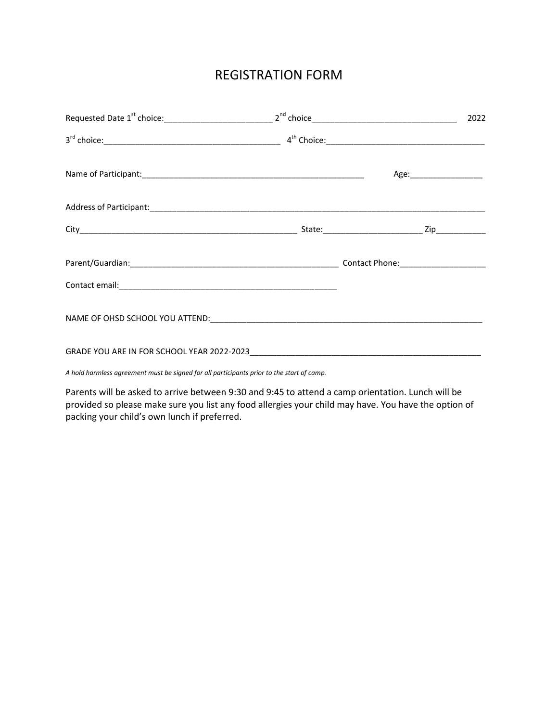## REGISTRATION FORM

|  | 2022 |
|--|------|
|  |      |
|  |      |
|  |      |
|  |      |
|  |      |
|  |      |
|  |      |
|  |      |

*A hold harmless agreement must be signed for all participants prior to the start of camp.* 

Parents will be asked to arrive between 9:30 and 9:45 to attend a camp orientation. Lunch will be provided so please make sure you list any food allergies your child may have. You have the option of packing your child's own lunch if preferred.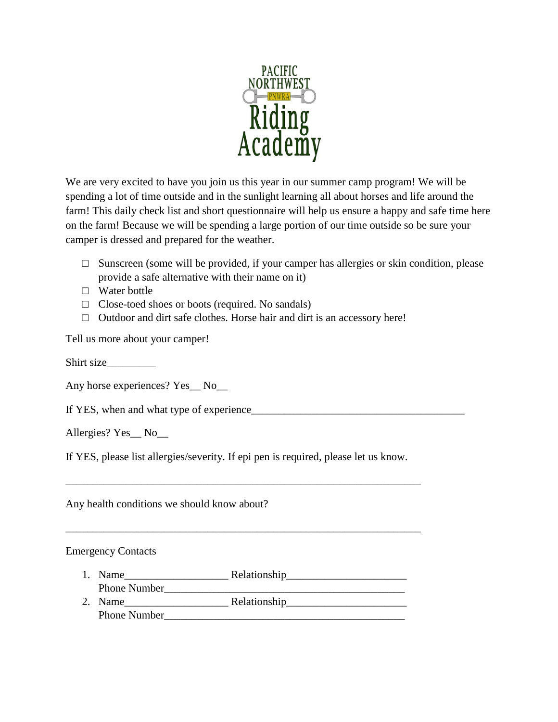

We are very excited to have you join us this year in our summer camp program! We will be spending a lot of time outside and in the sunlight learning all about horses and life around the farm! This daily check list and short questionnaire will help us ensure a happy and safe time here on the farm! Because we will be spending a large portion of our time outside so be sure your camper is dressed and prepared for the weather.

- $\Box$  Sunscreen (some will be provided, if your camper has allergies or skin condition, please provide a safe alternative with their name on it)
- □ Water bottle
- $\Box$  Close-toed shoes or boots (required. No sandals)
- □ Outdoor and dirt safe clothes. Horse hair and dirt is an accessory here!

Tell us more about your camper!

Shirt size

Any horse experiences? Yes\_\_ No\_\_

If YES, when and what type of experience\_\_\_\_\_\_\_\_\_\_\_\_\_\_\_\_\_\_\_\_\_\_\_\_\_\_\_\_\_\_\_\_\_\_\_\_\_\_\_

Allergies? Yes\_\_ No\_\_

If YES, please list allergies/severity. If epi pen is required, please let us know.

\_\_\_\_\_\_\_\_\_\_\_\_\_\_\_\_\_\_\_\_\_\_\_\_\_\_\_\_\_\_\_\_\_\_\_\_\_\_\_\_\_\_\_\_\_\_\_\_\_\_\_\_\_\_\_\_\_\_\_\_\_\_\_\_\_

\_\_\_\_\_\_\_\_\_\_\_\_\_\_\_\_\_\_\_\_\_\_\_\_\_\_\_\_\_\_\_\_\_\_\_\_\_\_\_\_\_\_\_\_\_\_\_\_\_\_\_\_\_\_\_\_\_\_\_\_\_\_\_\_\_

Any health conditions we should know about?

### Emergency Contacts

- 1. Name\_\_\_\_\_\_\_\_\_\_\_\_\_\_\_\_\_\_\_ Relationship\_\_\_\_\_\_\_\_\_\_\_\_\_\_\_\_\_\_\_\_\_\_ Phone Number 2. Name\_\_\_\_\_\_\_\_\_\_\_\_\_\_\_\_\_\_\_ Relationship\_\_\_\_\_\_\_\_\_\_\_\_\_\_\_\_\_\_\_\_\_\_
- Phone Number